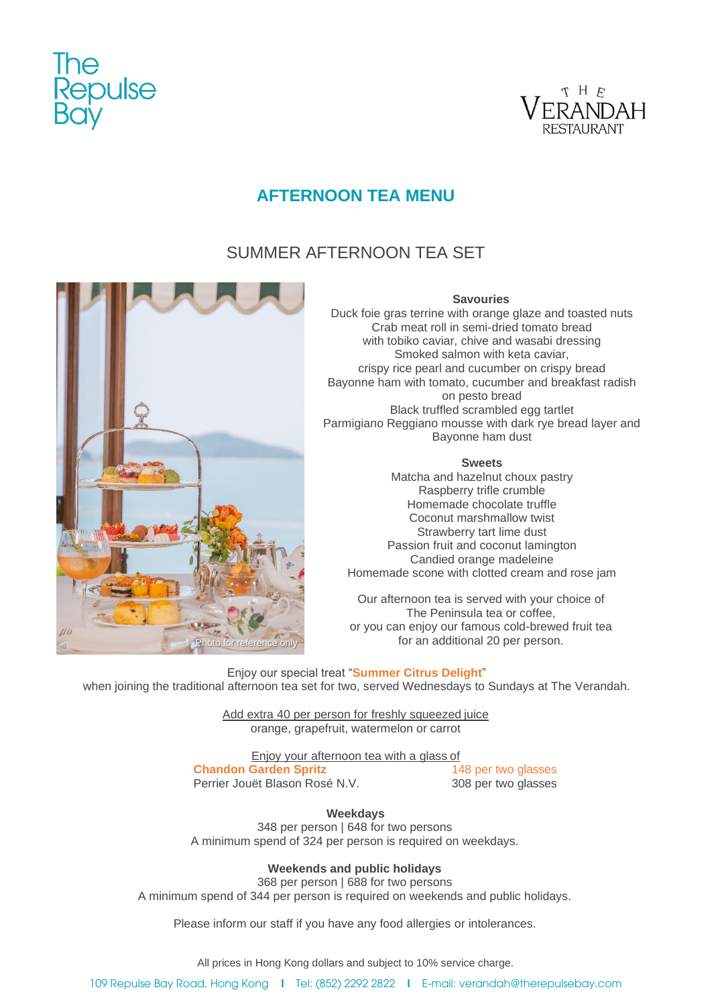



# **AFTERNOON TEA MENU**

# SUMMER AFTERNOON TEA SET



## **Savouries**

Duck foie gras terrine with orange glaze and toasted nuts Crab meat roll in semi-dried tomato bread with tobiko caviar, chive and wasabi dressing Smoked salmon with keta caviar, crispy rice pearl and cucumber on crispy bread Bayonne ham with tomato, cucumber and breakfast radish on pesto bread Black truffled scrambled egg tartlet Parmigiano Reggiano mousse with dark rye bread layer and Bayonne ham dust

## **Sweets**

Matcha and hazelnut choux pastry Raspberry trifle crumble Homemade chocolate truffle Coconut marshmallow twist Strawberry tart lime dust Passion fruit and coconut lamington Candied orange madeleine Homemade scone with clotted cream and rose jam

Our afternoon tea is served with your choice of The Peninsula tea or coffee, or you can enjoy our famous cold-brewed fruit tea for an additional 20 per person.

Enjoy our special treat "**Summer Citrus Delight**" when joining the traditional afternoon tea set for two, served Wednesdays to Sundays at The Verandah.

> Add extra 40 per person for freshly squeezed juice orange, grapefruit, watermelon or carrot

Enjoy your afternoon tea with a glass of **Chandon Garden Spritz** 148 per two glasses<br>
Perrier Jouët Blason Rosé N.V. 308 per two glasses Perrier Jouët Blason Rosé N.V.

**Weekdays**

348 per person | 648 for two persons A minimum spend of 324 per person is required on weekdays.

**Weekends and public holidays**

368 per person | 688 for two persons A minimum spend of 344 per person is required on weekends and public holidays.

Please inform our staff if you have any food allergies or intolerances.

All prices in Hong Kong dollars and subject to 10% service charge.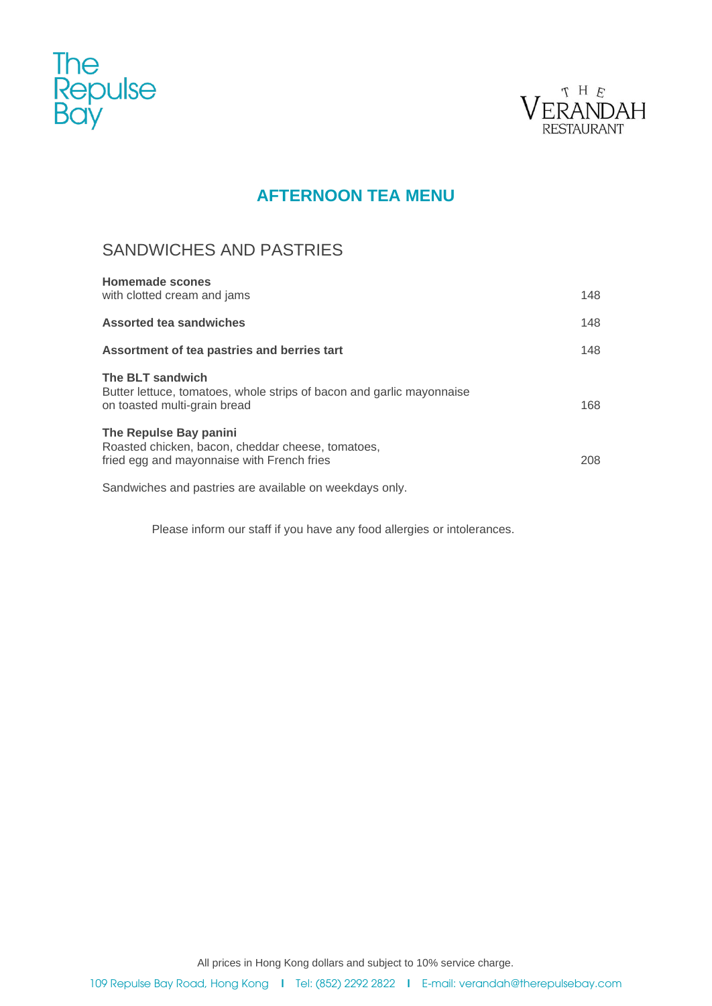



# **AFTERNOON TEA MENU**

## SANDWICHES AND PASTRIES

| Homemade scones                                                                                                           |     |
|---------------------------------------------------------------------------------------------------------------------------|-----|
| with clotted cream and jams                                                                                               | 148 |
| Assorted tea sandwiches                                                                                                   | 148 |
| Assortment of tea pastries and berries tart                                                                               | 148 |
| The BLT sandwich<br>Butter lettuce, tomatoes, whole strips of bacon and garlic mayonnaise<br>on toasted multi-grain bread | 168 |
| The Repulse Bay panini<br>Roasted chicken, bacon, cheddar cheese, tomatoes,<br>fried egg and mayonnaise with French fries | 208 |
|                                                                                                                           |     |

Sandwiches and pastries are available on weekdays only.

Please inform our staff if you have any food allergies or intolerances.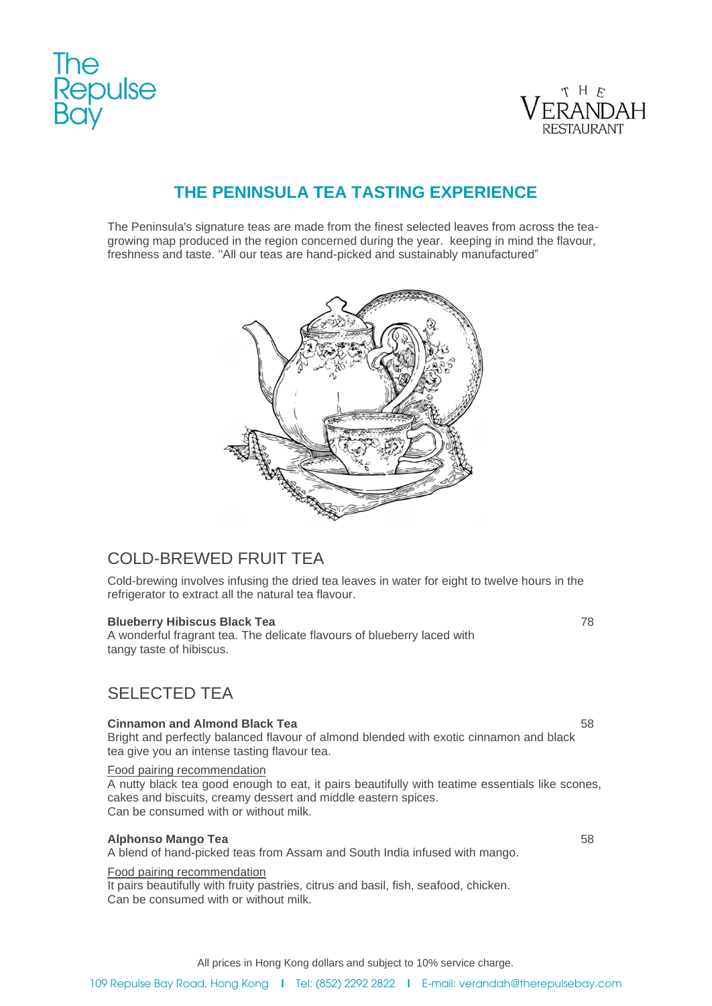



# **THE PENINSULA TEA TASTING EXPERIENCE**

The Peninsula's signature teas are made from the finest selected leaves from across the teagrowing map produced in the region concerned during the year. keeping in mind the flavour, freshness and taste. ''All our teas are hand-picked and sustainably manufactured"



## COLD-BREWED FRUIT TEA

Cold-brewing involves infusing the dried tea leaves in water for eight to twelve hours in the refrigerator to extract all the natural tea flavour.

## **Blueberry Hibiscus Black Tea 78 and 78 and 78 and 78 and 78 and 78 and 78 and 78 and 78 and 78 and 78 and 78 and 78 and 78 and 78 and 78 and 78 and 78 and 78 and 78 and 78 and 78 and 79 and 79 and 79 and 79 and 79 and 79**

A wonderful fragrant tea. The delicate flavours of blueberry laced with tangy taste of hibiscus.

## SELECTED TEA

### **Cinnamon and Almond Black Tea** 58

Bright and perfectly balanced flavour of almond blended with exotic cinnamon and black tea give you an intense tasting flavour tea.

Food pairing recommendation

A nutty black tea good enough to eat, it pairs beautifully with teatime essentials like scones, cakes and biscuits, creamy dessert and middle eastern spices. Can be consumed with or without milk.

### **Alphonso Mango Tea** 58

A blend of hand-picked teas from Assam and South India infused with mango.

### Food pairing recommendation

It pairs beautifully with fruity pastries, citrus and basil, fish, seafood, chicken. Can be consumed with or without milk.